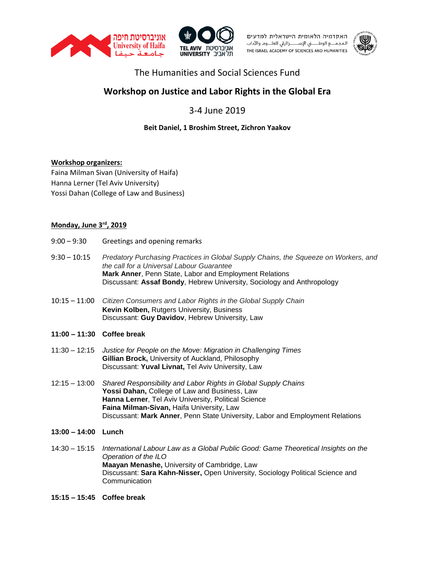





### The Humanities and Social Sciences Fund

# **Workshop on Justice and Labor Rights in the Global Era**

## 3-4 June 2019

### **Beit Daniel, 1 Broshim Street, Zichron Yaakov**

#### **Workshop organizers:**

Faina Milman Sivan (University of Haifa) Hanna Lerner (Tel Aviv University) Yossi Dahan (College of Law and Business)

#### **Monday, June 3rd, 2019**

- 9:00 9:30 Greetings and opening remarks
- 9:30 10:15 *Predatory Purchasing Practices in Global Supply Chains, the Squeeze on Workers, and the call for a Universal Labour Guarantee* **Mark Anner**, Penn State, Labor and Employment Relations Discussant: **Assaf Bondy**, Hebrew University, Sociology and Anthropology
- 10:15 11:00 *Citizen Consumers and Labor Rights in the Global Supply Chain* **Kevin Kolben,** Rutgers University, Business Discussant: **Guy Davidov**, Hebrew University, Law
- **11:00 – 11:30 Coffee break**
- 11:30 12:15 *Justice for People on the Move: Migration in Challenging Times* **Gillian Brock,** University of Auckland, Philosophy Discussant: **Yuval Livnat,** Tel Aviv University, Law
- 12:15 13:00 *Shared Responsibility and Labor Rights in Global Supply Chains* **Yossi Dahan,** College of Law and Business, Law **Hanna Lerner**, Tel Aviv University, Political Science **Faina Milman-Sivan,** Haifa University, Law Discussant: **Mark Anner**, Penn State University, Labor and Employment Relations
- **13:00 – 14:00 Lunch**
- 14:30 15:15 *International Labour Law as a Global Public Good: Game Theoretical Insights on the Operation of the ILO* **Maayan Menashe,** University of Cambridge, Law Discussant: **Sara Kahn-Nisser,** Open University, Sociology Political Science and **Communication**
- **15:15 – 15:45 Coffee break**